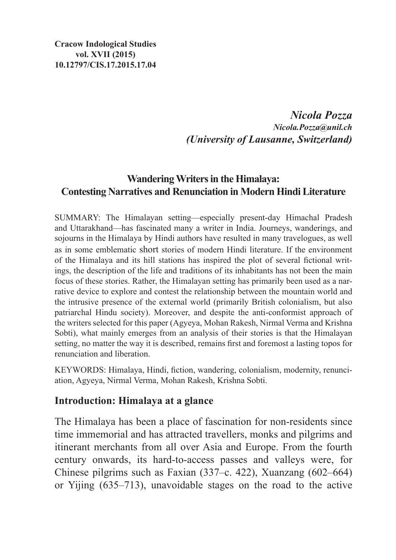*Nicola Pozza Nicola.Pozza@unil.ch (University of Lausanne, Switzerland)*

# **Wandering Writers in the Himalaya: Contesting Narratives and Renunciation in Modern Hindi Literature**

SUMMARY: The Himalayan setting—especially present-day Himachal Pradesh and Uttarakhand—has fascinated many a writer in India. Journeys, wanderings, and sojourns in the Himalaya by Hindi authors have resulted in many travelogues, as well as in some emblematic short stories of modern Hindi literature. If the environment of the Himalaya and its hill stations has inspired the plot of several fictional writings, the description of the life and traditions of its inhabitants has not been the main focus of these stories. Rather, the Himalayan setting has primarily been used as a narrative device to explore and contest the relationship between the mountain world and the intrusive presence of the external world (primarily British colonialism, but also patriarchal Hindu society). Moreover, and despite the anti-conformist approach of the writers selected for this paper (Agyeya, Mohan Rakesh, Nirmal Verma and Krishna Sobti), what mainly emerges from an analysis of their stories is that the Himalayan setting, no matter the way it is described, remains first and foremost a lasting topos for renunciation and liberation.

KEYWORDS: Himalaya, Hindi, fiction, wandering, colonialism, modernity, renunciation, Agyeya, Nirmal Verma, Mohan Rakesh, Krishna Sobti.

#### **Introduction: Himalaya at a glance**

The Himalaya has been a place of fascination for non-residents since time immemorial and has attracted travellers, monks and pilgrims and itinerant merchants from all over Asia and Europe. From the fourth century onwards, its hard-to-access passes and valleys were, for Chinese pilgrims such as Faxian (337–c. 422), Xuanzang (602–664) or Yijing (635–713), unavoidable stages on the road to the active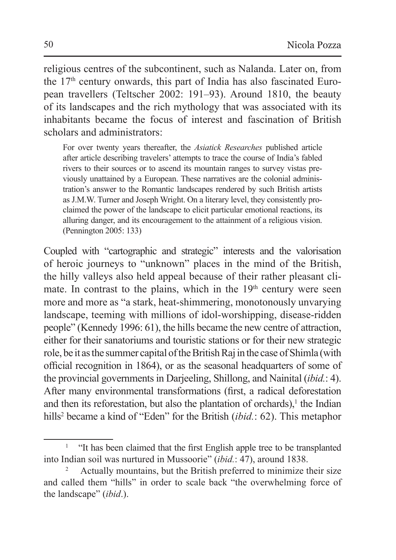religious centres of the subcontinent, such as Nalanda. Later on, from the 17th century onwards, this part of India has also fascinated European travellers (Teltscher 2002: 191–93). Around 1810, the beauty of its landscapes and the rich mythology that was associated with its inhabitants became the focus of interest and fascination of British scholars and administrators:

For over twenty years thereafter, the *Asiatick Researches* published article after article describing travelers' attempts to trace the course of India's fabled rivers to their sources or to ascend its mountain ranges to survey vistas previously unattained by a European. These narratives are the colonial administration's answer to the Romantic landscapes rendered by such British artists as J.M.W. Turner and Joseph Wright. On a literary level, they consistently proclaimed the power of the landscape to elicit particular emotional reactions, its alluring danger, and its encouragement to the attainment of a religious vision. (Pennington 2005: 133)

Coupled with "cartographic and strategic" interests and the valorisation of heroic journeys to "unknown" places in the mind of the British, the hilly valleys also held appeal because of their rather pleasant climate. In contrast to the plains, which in the  $19<sup>th</sup>$  century were seen more and more as "a stark, heat-shimmering, monotonously unvarying landscape, teeming with millions of idol-worshipping, disease-ridden people" (Kennedy 1996: 61), the hills became the new centre of attraction, either for their sanatoriums and touristic stations or for their new strategic role, be it as the summer capital of the British Raj in the case of Shimla (with official recognition in 1864), or as the seasonal headquarters of some of the provincial governments in Darjeeling, Shillong, and Nainital (*ibid.*: 4). After many environmental transformations (first, a radical deforestation and then its reforestation, but also the plantation of orchards), $<sup>1</sup>$  the Indian</sup> hills<sup>2</sup> became a kind of "Eden" for the British (*ibid.*: 62). This metaphor

<sup>&</sup>quot;It has been claimed that the first English apple tree to be transplanted into Indian soil was nurtured in Mussoorie" *(ibid.*: 47), around 1838.<br><sup>2</sup> Actually mountains, but the British preferred to minimize their size

and called them "hills" in order to scale back "the overwhelming force of the landscape" (*ibid*.).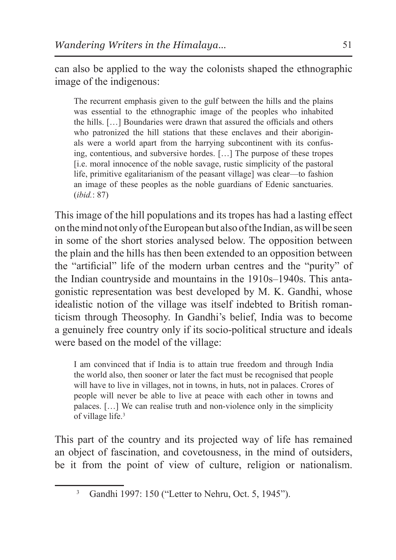can also be applied to the way the colonists shaped the ethnographic image of the indigenous:

The recurrent emphasis given to the gulf between the hills and the plains was essential to the ethnographic image of the peoples who inhabited the hills. […] Boundaries were drawn that assured the officials and others who patronized the hill stations that these enclaves and their aboriginals were a world apart from the harrying subcontinent with its confusing, contentious, and subversive hordes. […] The purpose of these tropes [i.e. moral innocence of the noble savage, rustic simplicity of the pastoral life, primitive egalitarianism of the peasant village] was clear—to fashion an image of these peoples as the noble guardians of Edenic sanctuaries. (*ibid.*: 87)

This image of the hill populations and its tropes has had a lasting effect on the mind not only of the European but also of the Indian, as will be seen in some of the short stories analysed below. The opposition between the plain and the hills has then been extended to an opposition between the "artificial" life of the modern urban centres and the "purity" of the Indian countryside and mountains in the 1910s–1940s. This antagonistic representation was best developed by M. K. Gandhi, whose idealistic notion of the village was itself indebted to British romanticism through Theosophy. In Gandhi's belief, India was to become a genuinely free country only if its socio-political structure and ideals were based on the model of the village:

I am convinced that if India is to attain true freedom and through India the world also, then sooner or later the fact must be recognised that people will have to live in villages, not in towns, in huts, not in palaces. Crores of people will never be able to live at peace with each other in towns and palaces. […] We can realise truth and non-violence only in the simplicity of village life.3

This part of the country and its projected way of life has remained an object of fascination, and covetousness, in the mind of outsiders, be it from the point of view of culture, religion or nationalism.

<sup>3</sup> Gandhi 1997: 150 ("Letter to Nehru, Oct. 5, 1945").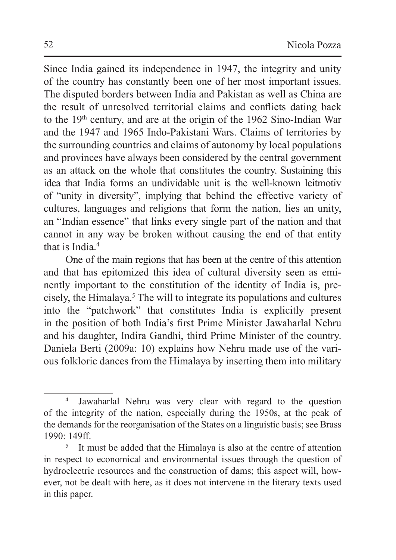Since India gained its independence in 1947, the integrity and unity of the country has constantly been one of her most important issues. The disputed borders between India and Pakistan as well as China are the result of unresolved territorial claims and conflicts dating back to the 19th century, and are at the origin of the 1962 Sino-Indian War and the 1947 and 1965 Indo-Pakistani Wars. Claims of territories by the surrounding countries and claims of autonomy by local populations and provinces have always been considered by the central government as an attack on the whole that constitutes the country. Sustaining this idea that India forms an undividable unit is the well-known leitmotiv of "unity in diversity", implying that behind the effective variety of cultures, languages and religions that form the nation, lies an unity, an "Indian essence" that links every single part of the nation and that cannot in any way be broken without causing the end of that entity that is India.<sup>4</sup>

One of the main regions that has been at the centre of this attention and that has epitomized this idea of cultural diversity seen as eminently important to the constitution of the identity of India is, precisely, the Himalaya.5 The will to integrate its populations and cultures into the "patchwork" that constitutes India is explicitly present in the position of both India's first Prime Minister Jawaharlal Nehru and his daughter, Indira Gandhi, third Prime Minister of the country. Daniela Berti (2009a: 10) explains how Nehru made use of the various folkloric dances from the Himalaya by inserting them into military

<sup>4</sup> Jawaharlal Nehru was very clear with regard to the question of the integrity of the nation, especially during the 1950s, at the peak of the demands for the reorganisation of the States on a linguistic basis; see Brass 1990: 149ff.

<sup>5</sup> It must be added that the Himalaya is also at the centre of attention in respect to economical and environmental issues through the question of hydroelectric resources and the construction of dams; this aspect will, however, not be dealt with here, as it does not intervene in the literary texts used in this paper.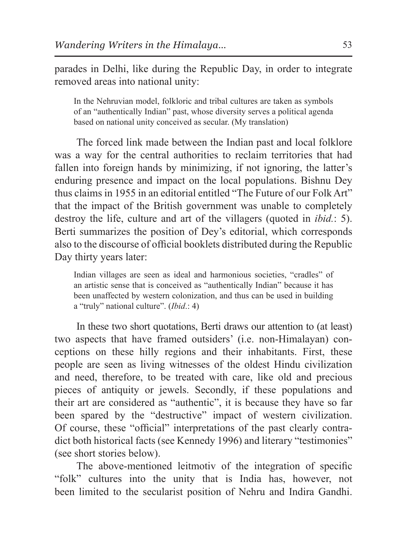parades in Delhi, like during the Republic Day, in order to integrate removed areas into national unity:

In the Nehruvian model, folkloric and tribal cultures are taken as symbols of an "authentically Indian" past, whose diversity serves a political agenda based on national unity conceived as secular. (My translation)

The forced link made between the Indian past and local folklore was a way for the central authorities to reclaim territories that had fallen into foreign hands by minimizing, if not ignoring, the latter's enduring presence and impact on the local populations. Bishnu Dey thus claims in 1955 in an editorial entitled "The Future of our Folk Art" that the impact of the British government was unable to completely destroy the life, culture and art of the villagers (quoted in *ibid.*: 5). Berti summarizes the position of Dey's editorial, which corresponds also to the discourse of official booklets distributed during the Republic Day thirty years later:

Indian villages are seen as ideal and harmonious societies, "cradles" of an artistic sense that is conceived as "authentically Indian" because it has been unaffected by western colonization, and thus can be used in building a "truly" national culture". (*Ibid*.: 4)

In these two short quotations, Berti draws our attention to (at least) two aspects that have framed outsiders' (i.e. non-Himalayan) conceptions on these hilly regions and their inhabitants. First, these people are seen as living witnesses of the oldest Hindu civilization and need, therefore, to be treated with care, like old and precious pieces of antiquity or jewels. Secondly, if these populations and their art are considered as "authentic", it is because they have so far been spared by the "destructive" impact of western civilization. Of course, these "official" interpretations of the past clearly contradict both historical facts (see Kennedy 1996) and literary "testimonies" (see short stories below).

The above-mentioned leitmotiv of the integration of specific "folk" cultures into the unity that is India has, however, not been limited to the secularist position of Nehru and Indira Gandhi.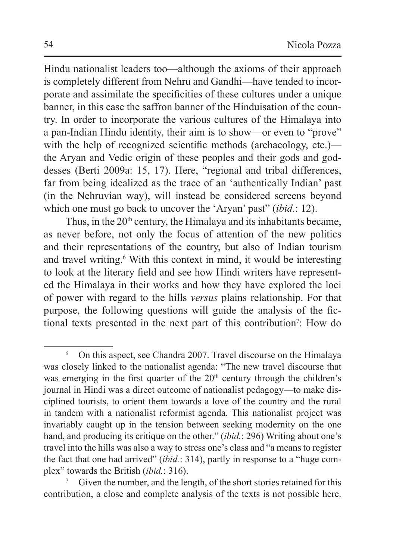Hindu nationalist leaders too—although the axioms of their approach is completely different from Nehru and Gandhi—have tended to incorporate and assimilate the specificities of these cultures under a unique banner, in this case the saffron banner of the Hinduisation of the country. In order to incorporate the various cultures of the Himalaya into a pan-Indian Hindu identity, their aim is to show—or even to "prove" with the help of recognized scientific methods (archaeology, etc.) the Aryan and Vedic origin of these peoples and their gods and goddesses (Berti 2009a: 15, 17). Here, "regional and tribal differences, far from being idealized as the trace of an 'authentically Indian' past (in the Nehruvian way), will instead be considered screens beyond which one must go back to uncover the 'Aryan' past" (*ibid.*: 12).

Thus, in the 20<sup>th</sup> century, the Himalaya and its inhabitants became, as never before, not only the focus of attention of the new politics and their representations of the country, but also of Indian tourism and travel writing.<sup>6</sup> With this context in mind, it would be interesting to look at the literary field and see how Hindi writers have represented the Himalaya in their works and how they have explored the loci of power with regard to the hills *versus* plains relationship. For that purpose, the following questions will guide the analysis of the fictional texts presented in the next part of this contribution7 : How do

<sup>6</sup> On this aspect, see Chandra 2007. Travel discourse on the Himalaya was closely linked to the nationalist agenda: "The new travel discourse that was emerging in the first quarter of the  $20<sup>th</sup>$  century through the children's journal in Hindi was a direct outcome of nationalist pedagogy—to make disciplined tourists, to orient them towards a love of the country and the rural in tandem with a nationalist reformist agenda. This nationalist project was invariably caught up in the tension between seeking modernity on the one hand, and producing its critique on the other." (*ibid.*: 296) Writing about one's travel into the hills was also a way to stress one's class and "a means to register the fact that one had arrived" (*ibid.*: 314), partly in response to a "huge complex" towards the British (*ibid.*: 316).

Given the number, and the length, of the short stories retained for this contribution, a close and complete analysis of the texts is not possible here.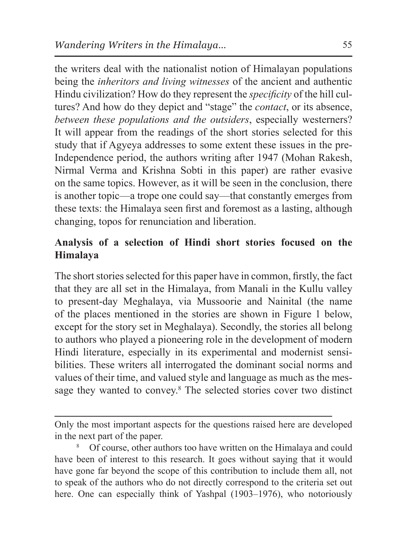the writers deal with the nationalist notion of Himalayan populations being the *inheritors and living witnesses* of the ancient and authentic Hindu civilization? How do they represent the *specificity* of the hill cultures? And how do they depict and "stage" the *contact*, or its absence, *between these populations and the outsiders*, especially westerners? It will appear from the readings of the short stories selected for this study that if Agyeya addresses to some extent these issues in the pre-Independence period, the authors writing after 1947 (Mohan Rakesh, Nirmal Verma and Krishna Sobti in this paper) are rather evasive on the same topics. However, as it will be seen in the conclusion, there is another topic—a trope one could say—that constantly emerges from these texts: the Himalaya seen first and foremost as a lasting, although changing, topos for renunciation and liberation.

# **Analysis of a selection of Hindi short stories focused on the Himalaya**

The short stories selected for this paper have in common, firstly, the fact that they are all set in the Himalaya, from Manali in the Kullu valley to present-day Meghalaya, via Mussoorie and Nainital (the name of the places mentioned in the stories are shown in Figure 1 below, except for the story set in Meghalaya). Secondly, the stories all belong to authors who played a pioneering role in the development of modern Hindi literature, especially in its experimental and modernist sensibilities. These writers all interrogated the dominant social norms and values of their time, and valued style and language as much as the message they wanted to convey.<sup>8</sup> The selected stories cover two distinct

Only the most important aspects for the questions raised here are developed in the next part of the paper.

<sup>8</sup> Of course, other authors too have written on the Himalaya and could have been of interest to this research. It goes without saying that it would have gone far beyond the scope of this contribution to include them all, not to speak of the authors who do not directly correspond to the criteria set out here. One can especially think of Yashpal (1903–1976), who notoriously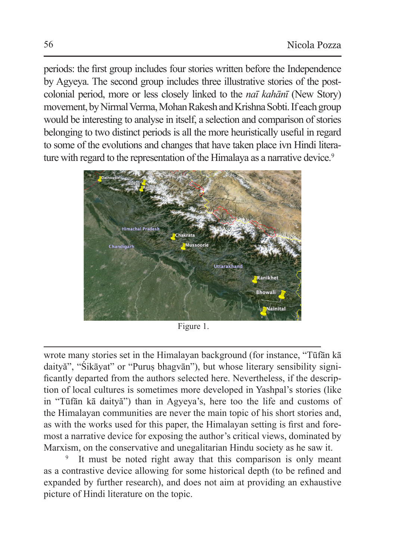periods: the first group includes four stories written before the Independence by Agyeya. The second group includes three illustrative stories of the postcolonial period, more or less closely linked to the *naī kahānī* (New Story) movement, by Nirmal Verma, Mohan Rakesh and Krishna Sobti. If each group would be interesting to analyse in itself, a selection and comparison of stories belonging to two distinct periods is all the more heuristically useful in regard to some of the evolutions and changes that have taken place ivn Hindi literature with regard to the representation of the Himalaya as a narrative device.<sup>9</sup>



Figure 1.

wrote many stories set in the Himalayan background (for instance, "Tūfān kā daityă", "Śikāyat" or "Puruṣ bhagvān"), but whose literary sensibility significantly departed from the authors selected here. Nevertheless, if the description of local cultures is sometimes more developed in Yashpal's stories (like in "Tūfān kā daityă") than in Agyeya's, here too the life and customs of the Himalayan communities are never the main topic of his short stories and, as with the works used for this paper, the Himalayan setting is first and foremost a narrative device for exposing the author's critical views, dominated by Marxism, on the conservative and unegalitarian Hindu society as he saw it.

It must be noted right away that this comparison is only meant as a contrastive device allowing for some historical depth (to be refined and expanded by further research), and does not aim at providing an exhaustive picture of Hindi literature on the topic.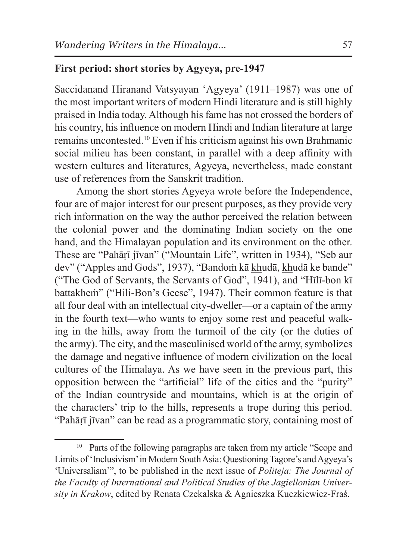#### **First period: short stories by Agyeya, pre-1947**

Saccidanand Hiranand Vatsyayan 'Agyeya' (1911–1987) was one of the most important writers of modern Hindi literature and is still highly praised in India today. Although his fame has not crossed the borders of his country, his influence on modern Hindi and Indian literature at large remains uncontested.10 Even if his criticism against his own Brahmanic social milieu has been constant, in parallel with a deep affinity with western cultures and literatures, Agyeya, nevertheless, made constant use of references from the Sanskrit tradition.

Among the short stories Agyeya wrote before the Independence, four are of major interest for our present purposes, as they provide very rich information on the way the author perceived the relation between the colonial power and the dominating Indian society on the one hand, and the Himalayan population and its environment on the other. These are "Pahāṛī jīvan" ("Mountain Life", written in 1934), "Seb aur dev" ("Apples and Gods", 1937), "Bandoṁ kā khudā, khudā ke bande" ("The God of Servants, the Servants of God", 1941), and "Hīlī-bon kī battakheṁ" ("Hili-Bon's Geese", 1947). Their common feature is that all four deal with an intellectual city-dweller—or a captain of the army in the fourth text—who wants to enjoy some rest and peaceful walking in the hills, away from the turmoil of the city (or the duties of the army). The city, and the masculinised world of the army, symbolizes the damage and negative influence of modern civilization on the local cultures of the Himalaya. As we have seen in the previous part, this opposition between the "artificial" life of the cities and the "purity" of the Indian countryside and mountains, which is at the origin of the characters' trip to the hills, represents a trope during this period. "Pahārī jīvan" can be read as a programmatic story, containing most of

<sup>&</sup>lt;sup>10</sup> Parts of the following paragraphs are taken from my article "Scope and Limits of 'Inclusivism' in Modern South Asia: Questioning Tagore's and Agyeya's 'Universalism'", to be published in the next issue of *Politeja: The Journal of the Faculty of International and Political Studies of the Jagiellonian University in Krakow*, edited by Renata Czekalska & Agnieszka Kuczkiewicz-Fraś.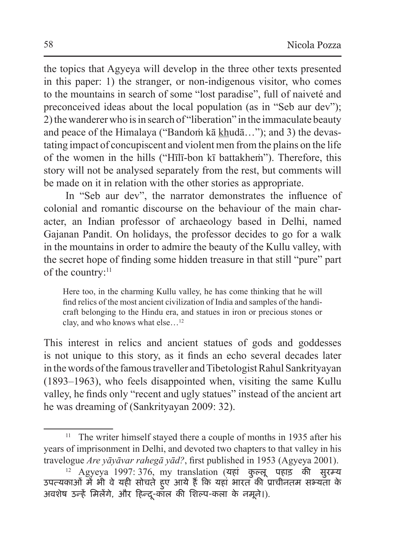the topics that Agyeya will develop in the three other texts presented in this paper: 1) the stranger, or non-indigenous visitor, who comes to the mountains in search of some "lost paradise", full of naiveté and preconceived ideas about the local population (as in "Seb aur dev"); 2) the wanderer who is in search of "liberation" in the immaculate beauty and peace of the Himalaya ("Bandoṁ kā khudā…"); and 3) the devastating impact of concupiscent and violent men from the plains on the life of the women in the hills ("Hīlī-bon kī battakheṁ"). Therefore, this story will not be analysed separately from the rest, but comments will be made on it in relation with the other stories as appropriate.

In "Seb aur dev", the narrator demonstrates the influence of colonial and romantic discourse on the behaviour of the main character, an Indian professor of archaeology based in Delhi, named Gajanan Pandit. On holidays, the professor decides to go for a walk in the mountains in order to admire the beauty of the Kullu valley, with the secret hope of finding some hidden treasure in that still "pure" part of the country:<sup>11</sup>

Here too, in the charming Kullu valley, he has come thinking that he will find relics of the most ancient civilization of India and samples of the handicraft belonging to the Hindu era, and statues in iron or precious stones or clay, and who knows what else…12

This interest in relics and ancient statues of gods and goddesses is not unique to this story, as it finds an echo several decades later in thewords of the famous traveller and Tibetologist Rahul Sankrityayan (1893–1963), who feels disappointed when, visiting the same Kullu valley, he finds only "recent and ugly statues" instead of the ancient art he was dreaming of (Sankrityayan 2009: 32).

<sup>&</sup>lt;sup>11</sup> The writer himself stayed there a couple of months in 1935 after his years of imprisonment in Delhi, and devoted two chapters to that valley in his travelogue *Are yāyāvar rahegā yād?*, first published in 1953 (Agyeya 2001).

 $12$  Agyeya 1997: 376, my translation (यहां कुल्लू पहाड़ की सुरम्य उपत्यकाओं में भी वे यही सोचते हु ए आये हैं कि यहां भारत की प्राचीनतम सभ्यता के अवशेष उन्हें मिलेंगे, और हिन्दू-काल की शिल्प-कला के नमूने।).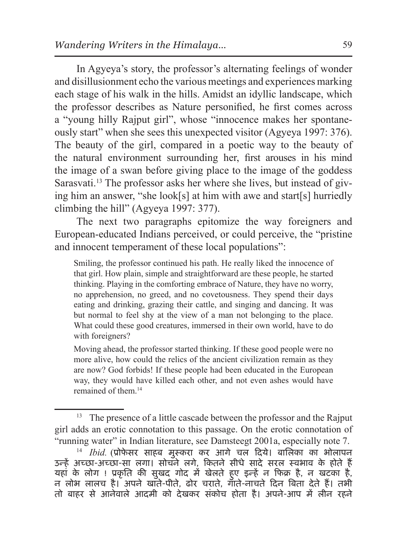In Agyeya's story, the professor's alternating feelings of wonder and disillusionment echo the various meetings and experiences marking each stage of his walk in the hills. Amidst an idyllic landscape, which the professor describes as Nature personified, he first comes across a "young hilly Rajput girl", whose "innocence makes her spontaneously start" when she sees this unexpected visitor (Agyeya 1997: 376). The beauty of the girl, compared in a poetic way to the beauty of the natural environment surrounding her, first arouses in his mind the image of a swan before giving place to the image of the goddess Sarasvati.<sup>13</sup> The professor asks her where she lives, but instead of giving him an answer, "she look[s] at him with awe and start[s] hurriedly climbing the hill" (Agyeya 1997: 377).

The next two paragraphs epitomize the way foreigners and European-educated Indians perceived, or could perceive, the "pristine and innocent temperament of these local populations":

Smiling, the professor continued his path. He really liked the innocence of that girl. How plain, simple and straightforward are these people, he started thinking. Playing in the comforting embrace of Nature, they have no worry, no apprehension, no greed, and no covetousness. They spend their days eating and drinking, grazing their cattle, and singing and dancing. It was but normal to feel shy at the view of a man not belonging to the place. What could these good creatures, immersed in their own world, have to do with foreigners?

Moving ahead, the professor started thinking. If these good people were no more alive, how could the relics of the ancient civilization remain as they are now? God forbids! If these people had been educated in the European way, they would have killed each other, and not even ashes would have remained of them.14

<sup>&</sup>lt;sup>13</sup> The presence of a little cascade between the professor and the Rajput girl adds an erotic connotation to this passage. On the erotic connotation of "running water" in Indian literature, see Damsteegt 2001a, especially note 7.

<sup>14</sup> *Ibid.* (प्रोफे सर साहब मुस्करा कर आगे चल दिये। बालिका का भोलापन उन्हें अच्छा-अच्छा-सा लगा। सोचने लगे, कितने सीधे सादे सरल स्वभाव के होते हैं यहां के लोग ! प्रकृति की सुखद गोद में खेलते हु ए इन्हें न फिक्र है, न खटका है, न लोभ लालच है। अपने खाते-पीते, ढोर चराते, गाते-नाचते दिन बिता देते हैं। तभी तो बाहर से आनेवाले आदमी को देखकर संकोच होता है। अपने-आप में लीन रहने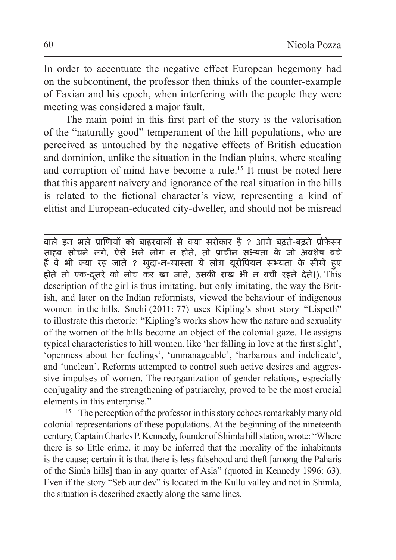In order to accentuate the negative effect European hegemony had on the subcontinent, the professor then thinks of the counter-example of Faxian and his epoch, when interfering with the people they were meeting was considered a major fault.

The main point in this first part of the story is the valorisation of the "naturally good" temperament of the hill populations, who are perceived as untouched by the negative effects of British education and dominion, unlike the situation in the Indian plains, where stealing and corruption of mind have become a rule.15 It must be noted here that this apparent naivety and ignorance of the real situation in the hills is related to the fictional character's view, representing a kind of elitist and European-educated city-dweller, and should not be misread

वाले इन भले प्राणियों को बाहरवालों से क्या सरोकार है ? आगे बढ़ते-बढ़ते प्रोफे सर साहब सोचने लगे, ऐसे भले लोग न होते, तो प्राचीन सभ्यता के जो अवशेष बचे हैं वे भी क्या रह जाते ? खुदा-न-खास्ता ये लोग यूरोपियन सभ्यता के सीखे हु ए होते तो एक-दूसरे को नोच कर खा जाते, उसकी राख भी न बची रहने देते।). This description of the girl is thus imitating, but only imitating, the way the British, and later on the Indian reformists, viewed the behaviour of indigenous women in the hills. Snehi (2011: 77) uses Kipling's short story "Lispeth" to illustrate this rhetoric: "Kipling's works show how the nature and sexuality of the women of the hills become an object of the colonial gaze. He assigns typical characteristics to hill women, like 'her falling in love at the first sight', 'openness about her feelings', 'unmanageable', 'barbarous and indelicate', and 'unclean'. Reforms attempted to control such active desires and aggressive impulses of women. The reorganization of gender relations, especially conjugality and the strengthening of patriarchy, proved to be the most crucial elements in this enterprise."

<sup>15</sup> The perception of the professor in this story echoes remarkably many old colonial representations of these populations. At the beginning of the nineteenth century, Captain Charles P.Kennedy, founder of Shimla hill station, wrote: "Where there is so little crime, it may be inferred that the morality of the inhabitants is the cause; certain it is that there is less falsehood and theft [among the Paharis of the Simla hills] than in any quarter of Asia" (quoted in Kennedy 1996: 63). Even if the story "Seb aur dev" is located in the Kullu valley and not in Shimla, the situation is described exactly along the same lines.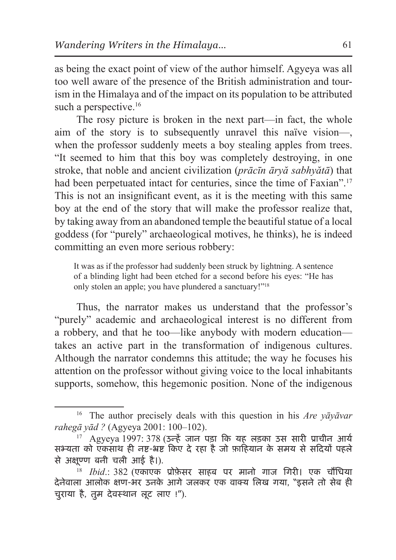as being the exact point of view of the author himself. Agyeya was all too well aware of the presence of the British administration and tourism in the Himalaya and of the impact on its population to be attributed such a perspective.<sup>16</sup>

The rosy picture is broken in the next part—in fact, the whole aim of the story is to subsequently unravel this naïve vision—, when the professor suddenly meets a boy stealing apples from trees. "It seemed to him that this boy was completely destroying, in one stroke, that noble and ancient civilization (*prācīn āryă sabhyătā*) that had been perpetuated intact for centuries, since the time of Faxian".<sup>17</sup> This is not an insignificant event, as it is the meeting with this same boy at the end of the story that will make the professor realize that, by taking away from an abandoned temple the beautiful statue of a local goddess (for "purely" archaeological motives, he thinks), he is indeed committing an even more serious robbery:

It was as if the professor had suddenly been struck by lightning. A sentence of a blinding light had been etched for a second before his eyes: "He has only stolen an apple; you have plundered a sanctuary!"18

Thus, the narrator makes us understand that the professor's "purely" academic and archaeological interest is no different from a robbery, and that he too—like anybody with modern education takes an active part in the transformation of indigenous cultures. Although the narrator condemns this attitude; the way he focuses his attention on the professor without giving voice to the local inhabitants supports, somehow, this hegemonic position. None of the indigenous

<sup>16</sup> The author precisely deals with this question in his *Are yāyāvar rahegā yād ?* (Agyeya 2001: 100–102).

 $17$  Agyeya 1997: 378 (उन्हें जान पड़ा कि यह लड़का उस सारी प्राचीन आर्य सभ्यता को एकसाथ ही नष्ट-भ्रष्ट किए दे रहा है जो फ़ाहियान के समय से सदियों पहले से अक्णषू्ण बनी चली आई है।).

<sup>18</sup> *Ibid*.: 382 (एकाएक प्रोफ़ेसर साहब पर मानो गाज गिरी। एक चौंधिया देनेवाला आलोक क्षण-भर उनके आगे जलकर एक वाक्य लिख गया, "इसने तो सेब ही चुराया है, तुम देवस्थान लूट लाए !").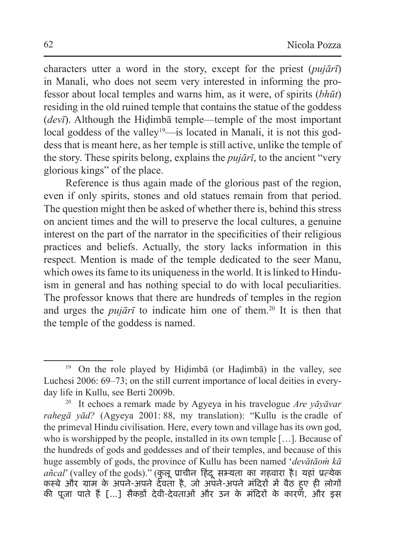characters utter a word in the story, except for the priest (*pujārī*) in Manali, who does not seem very interested in informing the professor about local temples and warns him, as it were, of spirits (*bhūt*) residing in the old ruined temple that contains the statue of the goddess (*devī*). Although the Hiḍimbā temple—temple of the most important local goddess of the valley<sup>19</sup>—is located in Manali, it is not this goddess that is meant here, as her temple is still active, unlike the temple of the story. These spirits belong, explains the *pujārī*, to the ancient "very glorious kings" of the place.

Reference is thus again made of the glorious past of the region, even if only spirits, stones and old statues remain from that period. The question might then be asked of whether there is, behind this stress on ancient times and the will to preserve the local cultures, a genuine interest on the part of the narrator in the specificities of their religious practices and beliefs. Actually, the story lacks information in this respect. Mention is made of the temple dedicated to the seer Manu, which owes its fame to its uniqueness in the world. It is linked to Hinduism in general and has nothing special to do with local peculiarities. The professor knows that there are hundreds of temples in the region and urges the *pujārī* to indicate him one of them.<sup>20</sup> It is then that the temple of the goddess is named.

<sup>19</sup> On the role played by Hiḍimbā (or Haḍimbā) in the valley, see Luchesi 2006: 69–73; on the still current importance of local deities in everyday life in Kullu, see Berti 2009b.

<sup>20</sup> It echoes a remark made by Agyeya in his travelogue *Are yāyāvar rahegā yād?* (Agyeya 2001: 88, my translation): "Kullu is the cradle of the primeval Hindu civilisation. Here, every town and village has its own god, who is worshipped by the people, installed in its own temple […]. Because of the hundreds of gods and goddesses and of their temples, and because of this huge assembly of gods, the province of Kullu has been named '*devătāoṁ kā añcal*' (valley of the gods)." (कुलू प्राचीन हिंदू सभ्यता का गहवारा है। यहां प्रत्येक कस्बे और ग्राम के अपने-अपने देवता है, जो अपने-अपने मंदिरों में बैठ हु ए ही लोगों की पूजा पाते हैं […] सैकड़ों देवी-देवताओं और उन के मंदिरों के कारण, और इस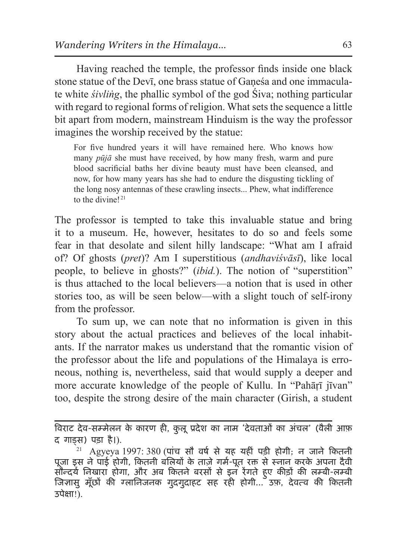Having reached the temple, the professor finds inside one black stone statue of the Devī, one brass statue of Gaṇeśa and one immaculate white *śivliṅg*, the phallic symbol of the god Śiva; nothing particular with regard to regional forms of religion. What sets the sequence a little bit apart from modern, mainstream Hinduism is the way the professor imagines the worship received by the statue:

For five hundred years it will have remained here. Who knows how many *pūjā* she must have received, by how many fresh, warm and pure blood sacrificial baths her divine beauty must have been cleansed, and now, for how many years has she had to endure the disgusting tickling of the long nosy antennas of these crawling insects... Phew, what indifference to the divine!<sup>21</sup>

The professor is tempted to take this invaluable statue and bring it to a museum. He, however, hesitates to do so and feels some fear in that desolate and silent hilly landscape: "What am I afraid of? Of ghosts (*pret*)? Am I superstitious (*andhaviśvāsī*), like local people, to believe in ghosts?" (*ibid.*). The notion of "superstition" is thus attached to the local believers—a notion that is used in other stories too, as will be seen below—with a slight touch of self-irony from the professor.

To sum up, we can note that no information is given in this story about the actual practices and believes of the local inhabitants. If the narrator makes us understand that the romantic vision of the professor about the life and populations of the Himalaya is erroneous, nothing is, nevertheless, said that would supply a deeper and more accurate knowledge of the people of Kullu. In "Pahārī jīvan" too, despite the strong desire of the main character (Girish, a student

विराट देव-सम्मेलन के कारण ही, कुलूप्रदेश का नाम 'देवताओं का अंचल' (वैली आफ़ द गाड्स) पड़ा है।).

 $21$  Agyeya 1997: 380 (पांच सौ वर्ष से यह यहीं पड़ी होगी; न जाने कितनी पूजा इस ने पाई होगी, कितनी बलियों के ताज़े गर्म-पूत रक्त से स्नान करके अपना दैवी सौन्दर्य निखारा होगा, और अब कितने बरसों से इन रेंगते हु ए कीड़ों की लम्बी-लम्बी जिज्ञासु मूँछों की ग्लानिजनक गुदगुदाहट सह रही होगी… उफ़, देवत्व की कितनी उपेक्षा !).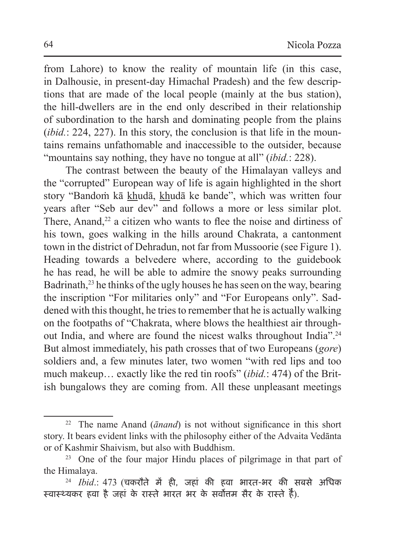from Lahore) to know the reality of mountain life (in this case, in Dalhousie, in present-day Himachal Pradesh) and the few descriptions that are made of the local people (mainly at the bus station), the hill-dwellers are in the end only described in their relationship of subordination to the harsh and dominating people from the plains (*ibid.*: 224, 227). In this story, the conclusion is that life in the mountains remains unfathomable and inaccessible to the outsider, because "mountains say nothing, they have no tongue at all" (*ibid.*: 228).

The contrast between the beauty of the Himalayan valleys and the "corrupted" European way of life is again highlighted in the short story "Bandoṁ kā khudā, khudā ke bande", which was written four years after "Seb aur dev" and follows a more or less similar plot. There, Anand, $2<sup>2</sup>$  a citizen who wants to flee the noise and dirtiness of his town, goes walking in the hills around Chakrata, a cantonment town in the district of Dehradun, not far from Mussoorie (see Figure 1). Heading towards a belvedere where, according to the guidebook he has read, he will be able to admire the snowy peaks surrounding Badrinath,<sup>23</sup> he thinks of the ugly houses he has seen on the way, bearing the inscription "For militaries only" and "For Europeans only". Saddened with this thought, he tries to remember that he is actually walking on the footpaths of "Chakrata, where blows the healthiest air throughout India, and where are found the nicest walks throughout India".24 But almost immediately, his path crosses that of two Europeans (*gore*) soldiers and, a few minutes later, two women "with red lips and too much makeup… exactly like the red tin roofs" (*ibid.*: 474) of the British bungalows they are coming from. All these unpleasant meetings

<sup>22</sup> The name Anand (*ānand*) is not without significance in this short story. It bears evident links with the philosophy either of the Advaita Vedānta or of Kashmir Shaivism, but also with Buddhism.

<sup>23</sup> One of the four major Hindu places of pilgrimage in that part of the Himalaya.

<sup>24</sup> *Ibid*.: 473 (चकरौते में ही, जहां की हवा भारत-भर की सबसे अधिक स्वास्थ्यकर हवा है जहां के रास्ते भारत भर के सर्वोत्तम सैर के रास्ते हैं).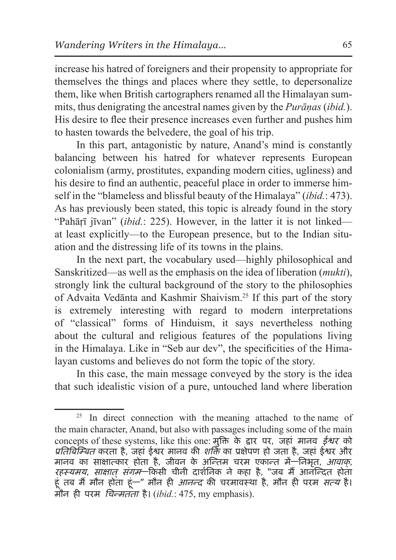increase his hatred of foreigners and their propensity to appropriate for themselves the things and places where they settle, to depersonalize them, like when British cartographers renamed all the Himalayan summits, thus denigrating the ancestral names given by the *Purāṇas* (*ibid.*). His desire to flee their presence increases even further and pushes him to hasten towards the belvedere, the goal of his trip.

In this part, antagonistic by nature, Anand's mind is constantly balancing between his hatred for whatever represents European colonialism (army, prostitutes, expanding modern cities, ugliness) and his desire to find an authentic, peaceful place in order to immerse himself in the "blameless and blissful beauty of the Himalaya" (*ibid.*: 473). As has previously been stated, this topic is already found in the story "Pahārī jīvan" *(ibid.*: 225). However, in the latter it is not linked at least explicitly—to the European presence, but to the Indian situation and the distressing life of its towns in the plains.

In the next part, the vocabulary used—highly philosophical and Sanskritized—as well as the emphasis on the idea of liberation (*mukti*), strongly link the cultural background of the story to the philosophies of Advaita Vedānta and Kashmir Shaivism.25 If this part of the story is extremely interesting with regard to modern interpretations of "classical" forms of Hinduism, it says nevertheless nothing about the cultural and religious features of the populations living in the Himalaya. Like in "Seb aur dev", the specificities of the Himalayan customs and believes do not form the topic of the story.

In this case, the main message conveyed by the story is the idea that such idealistic vision of a pure, untouched land where liberation

 $25$  In direct connection with the meaning attached to the name of the main character, Anand, but also with passages including some of the main concepts of these systems, like this one: मुक्ति के द्वार पर, जहां मानव ईश्वर को *प्रतिबिम्बित* करता है, जहां ईश्वर मानव की *शक्ति* का प्रक्षेपण हो जता है, जहां ईश्वर और मानव का साक्षात्कार होता है, जीवन के अन्तिम चरम एकान्त में—निभृत, आवाक्, *रहस्यमय, साक्षात् संगम*—किसी चीनी दार्शनिक ने कहा है, "जब मैं आर्नन्दित होता हूं तब मैं मौन होता हूं—" मौन ही *आनन्द* की चरमावस्था है, मौन ही परम *सत्य* है। मौन ही परम चिन्मतता है। (*ibid.*: 475, my emphasis).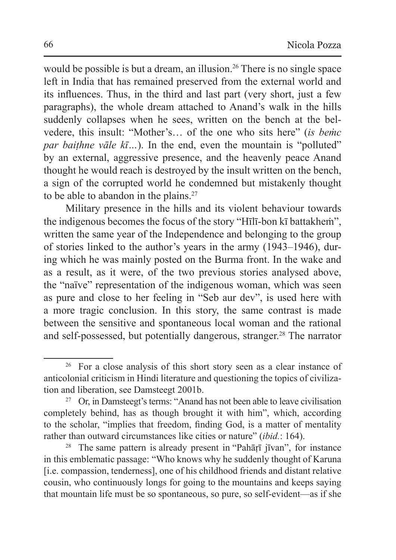would be possible is but a dream, an illusion.<sup>26</sup> There is no single space left in India that has remained preserved from the external world and its influences. Thus, in the third and last part (very short, just a few paragraphs), the whole dream attached to Anand's walk in the hills suddenly collapses when he sees, written on the bench at the belvedere, this insult: "Mother's… of the one who sits here" (*is beṁc par baithne vāle kī*...). In the end, even the mountain is "polluted" by an external, aggressive presence, and the heavenly peace Anand thought he would reach is destroyed by the insult written on the bench, a sign of the corrupted world he condemned but mistakenly thought to be able to abandon in the plains.<sup>27</sup>

Military presence in the hills and its violent behaviour towards the indigenous becomes the focus of the story "Hīlī-bon kī battakheṁ", written the same year of the Independence and belonging to the group of stories linked to the author's years in the army (1943–1946), during which he was mainly posted on the Burma front. In the wake and as a result, as it were, of the two previous stories analysed above, the "naïve" representation of the indigenous woman, which was seen as pure and close to her feeling in "Seb aur dev", is used here with a more tragic conclusion. In this story, the same contrast is made between the sensitive and spontaneous local woman and the rational and self-possessed, but potentially dangerous, stranger.28 The narrator

<sup>&</sup>lt;sup>26</sup> For a close analysis of this short story seen as a clear instance of anticolonial criticism in Hindi literature and questioning the topics of civilization and liberation, see Damsteegt 2001b.

<sup>&</sup>lt;sup>27</sup> Or, in Damsteegt's terms: "Anand has not been able to leave civilisation completely behind, has as though brought it with him", which, according to the scholar, "implies that freedom, finding God, is a matter of mentality rather than outward circumstances like cities or nature" (*ibid.*: 164).

<sup>&</sup>lt;sup>28</sup> The same pattern is already present in "Pahārī jīvan", for instance in this emblematic passage: "Who knows why he suddenly thought of Karuna [i.e. compassion, tenderness], one of his childhood friends and distant relative cousin, who continuously longs for going to the mountains and keeps saying that mountain life must be so spontaneous, so pure, so self-evident—as if she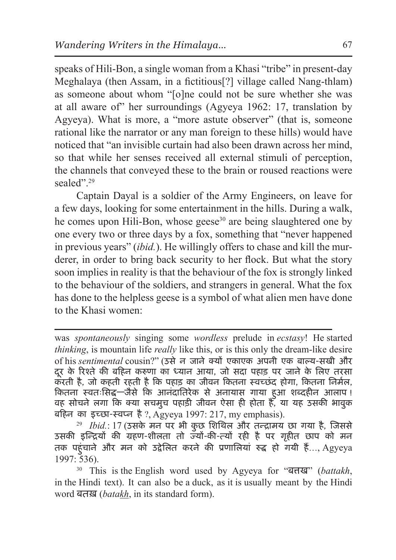speaks of Hili-Bon, a single woman from a Khasi "tribe" in present-day Meghalaya (then Assam, in a fictitious[?] village called Nang-thlam) as someone about whom "[o]ne could not be sure whether she was at all aware of" her surroundings (Agyeya 1962: 17, translation by Agyeya). What is more, a "more astute observer" (that is, someone rational like the narrator or any man foreign to these hills) would have noticed that "an invisible curtain had also been drawn across her mind, so that while her senses received all external stimuli of perception, the channels that conveyed these to the brain or roused reactions were sealed"<sup>29</sup>

Captain Dayal is a soldier of the Army Engineers, on leave for a few days, looking for some entertainment in the hills. During a walk, he comes upon Hili-Bon, whose geese<sup>30</sup> are being slaughtered one by one every two or three days by a fox, something that "never happened in previous years" (*ibid.*). He willingly offers to chase and kill the murderer, in order to bring back security to her flock. But what the story soon implies in reality is that the behaviour of the fox is strongly linked to the behaviour of the soldiers, and strangers in general. What the fox has done to the helpless geese is a symbol of what alien men have done to the Khasi women:

<sup>29</sup> *Ibid.*: 17 (उसके मन पर भी कुछ शिथिल और तन्द्रामय छा गया है, जिससे उसकी इन्द्रियों की ग्रहण-शीलता तो ज्यों-की-त्यों रही है पर गृहीत छाप को मन तक पहुंचाने और मन को उद्वेलित करने की प्रणालियां रुद्ध हो गयी हैं…, Agyeya 1997: 536).

<sup>30</sup> This is the English word used by Agyeya for "बत्तख" (*battakh*, in the Hindi text). It can also be a duck, as it is usually meant by the Hindi word बतख़ (*batakh*, in its standard form).

was *spontaneously* singing some *wordless* prelude in *ecstasy*! He started *thinking*, is mountain life *really* like this, or is this only the dream-like desire of his *sentimental* cousin?" (उसे न जाने क्यों एकाएक अपनी एक बाल्य-सखी और दूर के रिश्ते की बहिन करुणा का ध्यान आया, जो सदा पहाड़ पर जाने के लिए तरसा करती है, जो कहती रहती है कि पहाड़ का जीवन कितना स्वच्छंद होगा, कितना निर्मल, कितना स्वतःसिद्ध—जैसे कि आनंदातिरेक से अनायास गाया हु आ शब्दहीन आलाप ! वह सोचने लगा कि क्या सचमुच पहाड़ी जीवन ऐसा ही होता है, या यह उसकी भावुक बहिन का इच्छा-स्वप्न है?, Agyeya 1997: 217, my emphasis).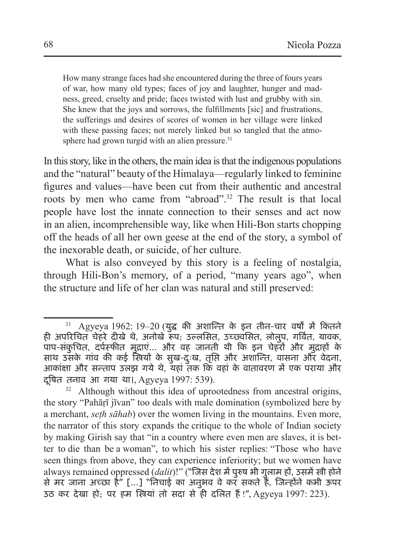How many strange faces had she encountered during the three of fours years of war, how many old types; faces of joy and laughter, hunger and madness, greed, cruelty and pride; faces twisted with lust and grubby with sin. She knew that the joys and sorrows, the fulfillments [sic] and frustrations, the sufferings and desires of scores of women in her village were linked with these passing faces; not merely linked but so tangled that the atmosphere had grown turgid with an alien pressure. $31$ 

In this story, like in the others, the main idea isthat the indigenous populations and the "natural" beauty of the Himalaya—regularly linked to feminine figures and values—have been cut from their authentic and ancestral roots by men who came from "abroad".32 The result is that local people have lost the innate connection to their senses and act now in an alien, incomprehensible way, like when Hili-Bon starts chopping off the heads of all her own geese at the end of the story, a symbol of the inexorable death, or suicide, of her culture.

What is also conveyed by this story is a feeling of nostalgia, through Hili-Bon's memory, of a period, "many years ago", when the structure and life of her clan was natural and still preserved:

 $31$  Agyeya 1962: 19–20 (युद्ध की अशान्ति के इन तीन-चार वर्षों में कितने ही अपरिचित चेहरे दीखे थे, अनोखे रूप; उल्लसित, उच्छ्वसित, लोलुप, गर्वित, यावक, पाप-संकुचित, दर्पस्फीत मुद्राएं… और वह जानती थी कि इन चेहरों और मुद्राहों के साथ उसके गांव की कई स्त्रियों के सुख-दुःख, तृप्ति और अशान्ति, वासना और वेदना, आकांक्षा और सन्ताप उलझ गये थे, यहां तक कि वहां के वातावरण में एक पराया और दुषित तनाव आ गया था।, Agyeya 1997: 539).

<sup>&</sup>lt;sup>32</sup> Although without this idea of uprootedness from ancestral origins, the story "Pahāṛī jīvan" too deals with male domination (symbolized here by a merchant, *seṭh sāhab*) over the women living in the mountains. Even more, the narrator of this story expands the critique to the whole of Indian society by making Girish say that "in a country where even men are slaves, it is better to die than be a woman", to which his sister replies: "Those who have seen things from above, they can experience inferiority; but we women have always remained oppressed (*dalit*)!" ("जिस देश में पुरुष भी गुलाम हों, उसमें स्त्री होने से मर जाना अच्छा है" […] "निचाई का अनुभव वे कर सकते हैं, जिन्होंने कभी ऊपर उठ कर देखा हो; पर हम स्त्रियां तो सदा से ही दलित हैं!", Agyeya 1997: 223).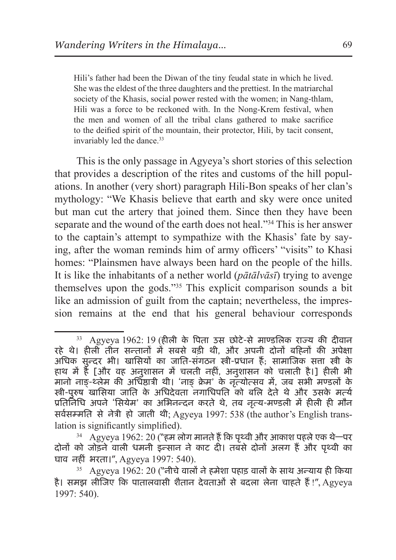Hili's father had been the Diwan of the tiny feudal state in which he lived. She was the eldest of the three daughters and the prettiest. In the matriarchal society of the Khasis, social power rested with the women; in Nang-thlam, Hili was a force to be reckoned with. In the Nong-Krem festival, when the men and women of all the tribal clans gathered to make sacrifice to the deified spirit of the mountain, their protector, Hili, by tacit consent, invariably led the dance.<sup>33</sup>

This is the only passage in Agyeya's short stories of this selection that provides a description of the rites and customs of the hill populations. In another (very short) paragraph Hili-Bon speaks of her clan's mythology: "We Khasis believe that earth and sky were once united but man cut the artery that joined them. Since then they have been separate and the wound of the earth does not heal."34 This is her answer to the captain's attempt to sympathize with the Khasis' fate by saying, after the woman reminds him of army officers' "visits" to Khasi homes: "Plainsmen have always been hard on the people of the hills. It is like the inhabitants of a nether world (*pātālvāsī*) trying to avenge themselves upon the gods."35 This explicit comparison sounds a bit like an admission of guilt from the captain; nevertheless, the impression remains at the end that his general behaviour corresponds

 $33$  Agyeya 1962: 19 (हीली के पिता उस छोटे-से माण्डलिक राज्य की दीवान रहे थे। हीली तीन सन्तानों में सबसे बड़ी थी, और अपनी दोनों बहिनों की अपेक्षा अधिक सुन्दर भी। खासियों का जाति-संगठन स्त्री-प्रधान हैं; सामाजिक सत्ता स्त्री के हाथ में है [और वह अनुशासन में चलती नहीं, अनुशासन को चलाती है।] हीली भी मानो नाङ्-थ्लेम की अधिष्ठात्री थी। 'नाङ् क्रेम' के नृत्योत्सव में, जब सभी मण्डलों के स्त्री-पुरुष खासिया जाति के अधिदेवता नगाधिपति को बलि देते थे और उसके मर्त्य प्रतिनिधि अपने 'सियेम' का अभिनन्दन करते थे, तब नृत्य-मण्डली में हीली ही मौन सर्वसम्मति से नेत्री हो जाती थी; Agyeya 1997: 538 (the author's English translation is significantly simplified).

 $34$  Agyeya 1962: 20 ("हम लोग मानते हैं कि पृथ्वी और आकाश पहले एक थे—पर दोनों को जोड़ने वाली धमनी इन्सान ने काट दी। तबसे दोनों अलग हैं और पृथ्वी का घाव नहीं भरता।", Agyeya 1997: 540). 35 Agyeya 1962: 20 ("नीचे वालों ने हमेशा पहाड़ वालों के साथ अन्याय ही किया

है। समझ लीजिए कि पातालवासी शैतान देवताओं से बदला लेना चाहते हैं !", Agyeya 1997: 540).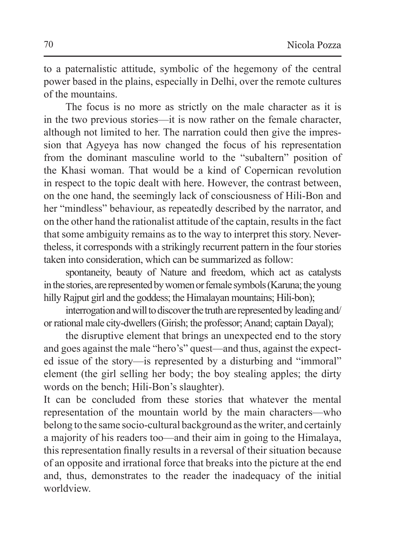to a paternalistic attitude, symbolic of the hegemony of the central power based in the plains, especially in Delhi, over the remote cultures of the mountains.

The focus is no more as strictly on the male character as it is in the two previous stories—it is now rather on the female character, although not limited to her. The narration could then give the impression that Agyeya has now changed the focus of his representation from the dominant masculine world to the "subaltern" position of the Khasi woman. That would be a kind of Copernican revolution in respect to the topic dealt with here. However, the contrast between, on the one hand, the seemingly lack of consciousness of Hili-Bon and her "mindless" behaviour, as repeatedly described by the narrator, and on the other hand the rationalist attitude of the captain, results in the fact that some ambiguity remains as to the way to interpret this story. Nevertheless, it corresponds with a strikingly recurrent pattern in the four stories taken into consideration, which can be summarized as follow:

spontaneity, beauty of Nature and freedom, which act as catalysts in the stories, are represented by women or female symbols (Karuna; the young hilly Rajput girl and the goddess; the Himalayan mountains; Hili-bon);

interrogation and will to discover the truth are represented by leading and/ or rational male city-dwellers (Girish; the professor; Anand; captain Dayal);

the disruptive element that brings an unexpected end to the story and goes against the male "hero's" quest—and thus, against the expected issue of the story—is represented by a disturbing and "immoral" element (the girl selling her body; the boy stealing apples; the dirty words on the bench; Hili-Bon's slaughter).

It can be concluded from these stories that whatever the mental representation of the mountain world by the main characters—who belong to the same socio-cultural background asthe writer, and certainly a majority of his readers too—and their aim in going to the Himalaya, this representation finally results in a reversal of their situation because of an opposite and irrational force that breaks into the picture at the end and, thus, demonstrates to the reader the inadequacy of the initial worldview.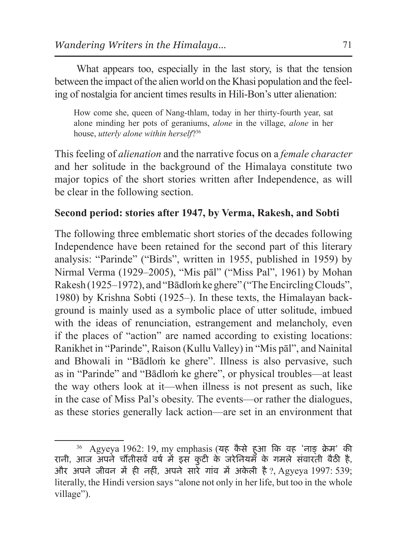What appears too, especially in the last story, is that the tension between the impact of the alien world on the Khasi population and the feeling of nostalgia for ancient times results in Hili-Bon's utter alienation:

How come she, queen of Nang-thlam, today in her thirty-fourth year, sat alone minding her pots of geraniums, *alone* in the village, *alone* in her house, *utterly alone within herself*?36

This feeling of *alienation* and the narrative focus on a *female character* and her solitude in the background of the Himalaya constitute two major topics of the short stories written after Independence, as will be clear in the following section.

## **Second period: stories after 1947, by Verma, Rakesh, and Sobti**

The following three emblematic short stories of the decades following Independence have been retained for the second part of this literary analysis: "Parinde" ("Birds", written in 1955, published in 1959) by Nirmal Verma (1929–2005), "Mis pāl" ("Miss Pal", 1961) by Mohan Rakesh (1925–1972), and "Bādlom ke ghere" ("The Encircling Clouds", 1980) by Krishna Sobti (1925–). In these texts, the Himalayan background is mainly used as a symbolic place of utter solitude, imbued with the ideas of renunciation, estrangement and melancholy, even if the places of "action" are named according to existing locations: Ranikhet in "Parinde", Raison (Kullu Valley) in "Mis pāl", and Nainital and Bhowali in "Bādloṁ ke ghere". Illness is also pervasive, such as in "Parinde" and "Bādloṁ ke ghere", or physical troubles—at least the way others look at it—when illness is not present as such, like in the case of Miss Pal's obesity. The events—or rather the dialogues, as these stories generally lack action—are set in an environment that

 $^{36}$  Agyeya 1962: 19, my emphasis (यह कैसे हुआ कि वह 'नाङ् क्रेम' की रानी, आज अपने चौंतीसवें वर्ष में इस कुटी के जरेनियम के गमले संवारती बैठी है, और अपने जीवन में ही नहीं, अपने सारे गांव में अकेली है ?, Agyeya 1997: 539; literally, the Hindi version says "alone not only in her life, but too in the whole village").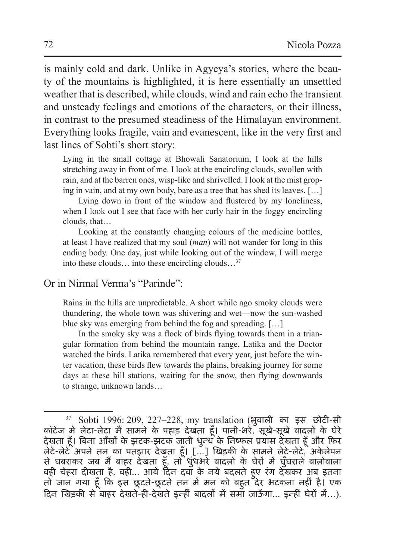is mainly cold and dark. Unlike in Agyeya's stories, where the beauty of the mountains is highlighted, it is here essentially an unsettled weather that is described, while clouds, wind and rain echo the transient and unsteady feelings and emotions of the characters, or their illness, in contrast to the presumed steadiness of the Himalayan environment. Everything looks fragile, vain and evanescent, like in the very first and last lines of Sobti's short story:

Lying in the small cottage at Bhowali Sanatorium, I look at the hills stretching away in front of me. I look at the encircling clouds, swollen with rain, and at the barren ones, wisp-like and shrivelled. I look at the mist groping in vain, and at my own body, bare as a tree that has shed its leaves. […]

Lying down in front of the window and flustered by my loneliness, when I look out I see that face with her curly hair in the foggy encircling clouds, that…

Looking at the constantly changing colours of the medicine bottles, at least I have realized that my soul (*man*) will not wander for long in this ending body. One day, just while looking out of the window, I will merge into these clouds… into these encircling clouds…37

#### Or in Nirmal Verma's "Parinde":

Rains in the hills are unpredictable. A short while ago smoky clouds were thundering, the whole town was shivering and wet—now the sun-washed blue sky was emerging from behind the fog and spreading. […]

In the smoky sky was a flock of birds flying towards them in a triangular formation from behind the mountain range. Latika and the Doctor watched the birds. Latika remembered that every year, just before the winter vacation, these birds flew towards the plains, breaking journey for some days at these hill stations, waiting for the snow, then flying downwards to strange, unknown lands…

<sup>37</sup> Sobti 1996: 209, 227–228, my translation (भुवाली का इस छोटी-सी कॉटेज में लेटा-लेटा मैं सामने के पहाड़ देखता हूँ। पानी-भरे, सूखे-सूखे बादलों के घेरे देखता हूँ। बिना आँखों के झटक-झटक जाती धुन्ध के निष्फल प्रयास देखता हूँ और फिर लेटे-लेटे अपने तन का पतझार देखता हूँ। […] खिड़की के सामने लेटे-लेटे, अकेलेपन से घबराकर जब मैं बाहर देखता हूँ, तो धुंधभरे बादलों के घेरों में घुँघराले बालोंवाला वही चेहरा दीखता है, वही… आये दिन दवा के नये बदलते हु ए रंग देखकर अब इतना तो जान गया हूँ कि इस छूटते-छूटते तन में मन को बहु त देर भटकना नहीं है। एक दिन खिड़की से बाहर देखते-ही-देखते इन्हीं बादलों में समा जाऊँ गा… इन्हीं घेरों में…).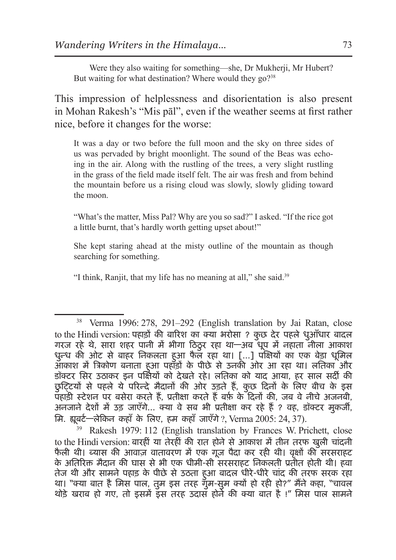Were they also waiting for something—she, Dr Mukherji, Mr Hubert? But waiting for what destination? Where would they go?<sup>38</sup>

This impression of helplessness and disorientation is also present in Mohan Rakesh's "Mis pāl", even if the weather seems at first rather nice, before it changes for the worse:

It was a day or two before the full moon and the sky on three sides of us was pervaded by bright moonlight. The sound of the Beas was echoing in the air. Along with the rustling of the trees, a very slight rustling in the grass of the field made itself felt. The air was fresh and from behind the mountain before us a rising cloud was slowly, slowly gliding toward the moon.

"What's the matter, Miss Pal? Why are you so sad?" I asked. "If the rice got a little burnt, that's hardly worth getting upset about!"

She kept staring ahead at the misty outline of the mountain as though searching for something.

"I think, Ranjit, that my life has no meaning at all," she said.39

<sup>39</sup> Rakesh 1979: 112 (English translation by Frances W. Prichett, close to the Hindi version: बारहीं या तेरहीं की रात होने से आकाश में तीन तरफ खुली चांदनी फैली थी। ब्यास की आवाज़ वातावरण में एक गुज पैदा कर रही थी। वृक्षों की सरसराहट के अतिरिक्त मैदान की घास से भी एक धीमी-सी सरसराहट निकलती प्रतीत होती थी। हवा तेज थी और सामने पहाड़ के पीछे से उठता हु आ बादल धीरे-धीरे चांद की तरफ सरक रहा था। "क्या बात है मिस पाल, तुम इस तरह गुम-सुम क्यों हो रही हो?" मैंने कहा, "चावल थोड़े खराब हो गए, तो इसमें इस तरह उदास होने की क्या बात है !" मिस पाल सामने

<sup>38</sup> Verma 1996: 278, 291–292 (English translation by Jai Ratan, close to the Hindi version: पहाड़ों की बारिश का क्या भरोसा ? कुछ देर पहले धुआँधार बादल गरज रहे थे, सारा शहर पानी में भीगा ठिठूर रहा था—अब धूप में नहाता नीला आकाश धुन्ध की ओट से बाहर निकलता हुआ फैल रहा था। […] पक्षियों का एक बेड़ा धूमि आकाश में त्रिकोण बनाता हु आ पहाड़ों के पीछे से उनकी ओर आ रहा था। लतिका और डॉक्टर सिर उठाकर इन पक्षियों को देखते रहे। लतिका को याद आया, हर साल सर्दी की छुट्टियों से पहले ये परिन्दे मैदानों की ओर उड़ते हैं, कुछ दिनों के लिए बीच के इस पहाड़ी स्टेशन पर बसेरा करते हैं, प्रतीक्षा करते हैं बर्फ़ के दिनों की, जब वे नीचे अजनबी, अनजाने देशों में उड़ जाएँगे… क्या वे सब भी प्रतीक्षा कर रहे हैं? वह, डॉक्टर मुकर्जी, मि. ह्बयूर्ट—लेकिन कहाँ के लिए, हम कहाँ जाएँगे?, Verma 2005: 24, 37).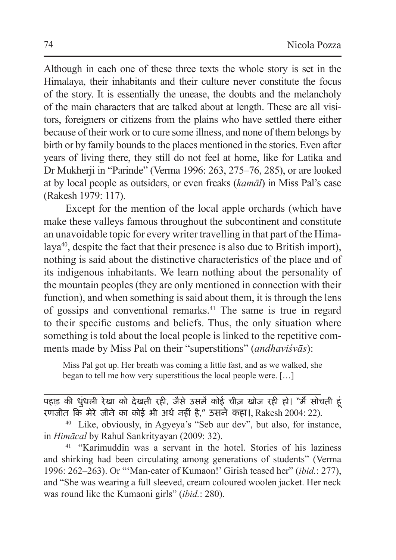Although in each one of these three texts the whole story is set in the Himalaya, their inhabitants and their culture never constitute the focus of the story. It is essentially the unease, the doubts and the melancholy of the main characters that are talked about at length. These are all visitors, foreigners or citizens from the plains who have settled there either because of their work or to cure some illness, and none of them belongs by birth or by family bounds to the places mentioned in the stories. Even after years of living there, they still do not feel at home, like for Latika and Dr Mukherji in "Parinde" (Verma 1996: 263, 275–76, 285), or are looked at by local people as outsiders, or even freaks (*kamāl*) in Miss Pal's case (Rakesh 1979: 117).

Except for the mention of the local apple orchards (which have make these valleys famous throughout the subcontinent and constitute an unavoidable topic for every writer travelling in that part of the Himalaya40, despite the fact that their presence is also due to British import), nothing is said about the distinctive characteristics of the place and of its indigenous inhabitants. We learn nothing about the personality of the mountain peoples (they are only mentioned in connection with their function), and when something is said about them, it is through the lens of gossips and conventional remarks.41 The same is true in regard to their specific customs and beliefs. Thus, the only situation where something is told about the local people is linked to the repetitive comments made by Miss Pal on their "superstitions" (*andhaviśvās*):

Miss Pal got up. Her breath was coming a little fast, and as we walked, she began to tell me how very superstitious the local people were. […]

पहाड़ की धुंधली रेखा को देखती रही, जैसे उसमें कोई चीज़ खोज रही हो। "मैं सोचती हूं रणजीत कि मेरे जीने का कोई भी अर्थ नहीं है," उसने कहा।, Rakesh 2004: 22).

<sup>40</sup> Like, obviously, in Agyeya's "Seb aur dev", but also, for instance, in *Himācal* by Rahul Sankrityayan (2009: 32).<br><sup>41</sup> "Karimuddin was a servant in the hotel. Stories of his laziness

and shirking had been circulating among generations of students" (Verma 1996: 262–263). Or "'Man-eater of Kumaon!' Girish teased her" (*ibid.*: 277), and "She was wearing a full sleeved, cream coloured woolen jacket. Her neck was round like the Kumaoni girls" (*ibid.*: 280).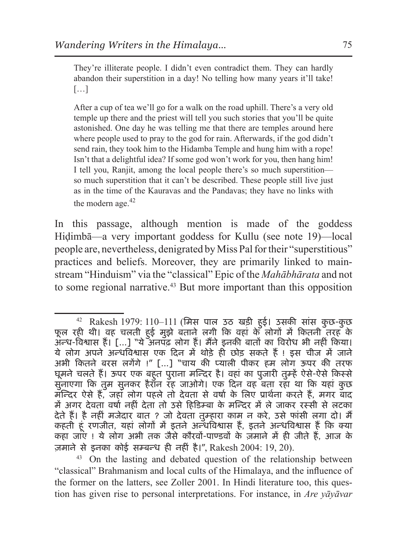They're illiterate people. I didn't even contradict them. They can hardly abandon their superstition in a day! No telling how many years it'll take! […]

After a cup of tea we'll go for a walk on the road uphill. There's a very old temple up there and the priest will tell you such stories that you'll be quite astonished. One day he was telling me that there are temples around here where people used to pray to the god for rain. Afterwards, if the god didn't send rain, they took him to the Hidamba Temple and hung him with a rope! Isn't that a delightful idea? If some god won't work for you, then hang him! I tell you, Ranjit, among the local people there's so much superstition so much superstition that it can't be described. These people still live just as in the time of the Kauravas and the Pandavas; they have no links with the modern age.<sup>42</sup>

In this passage, although mention is made of the goddess Hiḍimbā—a very important goddess for Kullu (see note 19)—local people are, nevertheless, denigrated by Miss Pal for their "superstitious" practices and beliefs. Moreover, they are primarily linked to mainstream "Hinduism" via the "classical" Epic of the *Mahābhārata* and not to some regional narrative.<sup>43</sup> But more important than this opposition

<sup>42</sup> Rakesh 1979: 110–111 (मिस पाल उठ खड़ी हु ई। उसकी सांस कुछ-कुछ फूल रही थी। वह चलती हु ई मुझे बताने लगी कि वहां के लोगों में कितनी तरह के अन्ध-विश्वास हैं। […] "ये अनपढ़ लोग हैं। मैंने इनकी बातों का विरोध भी नहीं किया। ये लोग अपने अन्धविश्वास एक दिन में थोड़े ही छोड़ सकते हैं! इस चीज में जाने अभी कितने बरस लगेंगे !" […] "चाय की प्याली पीकर हम लोग ऊपर की तरफ घूमने चलते हैं। ऊपर एक बहु त पुराना मन्दिर है। वहां का पुजारी तुम्हें ऐसे-ऐसे किस्से सुनाएगा कि तुम सुनकर हैरान रह जाओगे। एक दिन वह बता रहा था कि यहां कुछ मन्दिर ऐसे हैं, जहां लोग पहले तो देवता से वर्षा के लिए प्रार्थना करते हैं, मगर बाद में अगर देवता वर्षा नहीं देता तो उसे हिडिम्बा के मन्दिर में ले जाकर रस्सी से लटका देते हैं। है नहीं मजेदार बात ? जो देवता तुम्हारा काम न करे, उसे फांसी लगा दो। मैं कहती हूं रणजीत, यहां लोगों में इतने अन्धविश्वास हैं, इतने अन्धविश्वास हैं कि क्या कहा जाए ! ये लोग अभी तक जैसे कौरवों-पाण्डवों के ज़माने में ही जीते हैं, आज के ज़माने से इनका कोई सम्बन्ध ही नहीं है।", Rakesh 2004: 19, 20).

<sup>43</sup> On the lasting and debated question of the relationship between "classical" Brahmanism and local cults of the Himalaya, and the influence of the former on the latters, see Zoller 2001. In Hindi literature too, this question has given rise to personal interpretations. For instance, in *Are yāyāvar*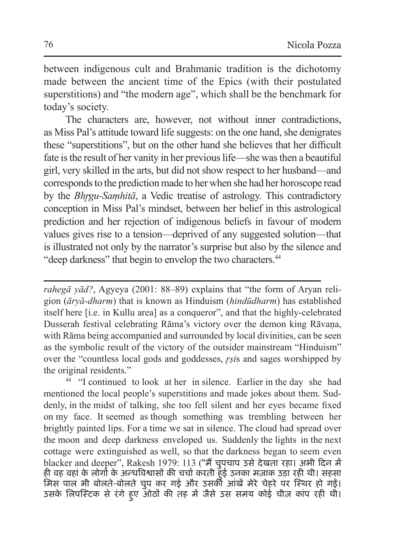between indigenous cult and Brahmanic tradition is the dichotomy made between the ancient time of the Epics (with their postulated superstitions) and "the modern age", which shall be the benchmark for today's society.

The characters are, however, not without inner contradictions, as Miss Pal's attitude toward life suggests: on the one hand, she denigrates these "superstitions", but on the other hand she believes that her difficult fate is the result of her vanity in her previous life—she was then a beautiful girl, very skilled in the arts, but did not show respect to her husband—and corresponds to the prediction made to her when she had her horoscope read by the *Bhr̥gu-Saṃhitā*, a Vedic treatise of astrology. This contradictory conception in Miss Pal's mindset, between her belief in this astrological prediction and her rejection of indigenous beliefs in favour of modern values gives rise to a tension—deprived of any suggested solution—that is illustrated not only by the narrator's surprise but also by the silence and "deep darkness" that begin to envelop the two characters.<sup>44</sup>

*rahegā yād?*, Agyeya (2001: 88–89) explains that "the form of Aryan religion (*āryă-dharm*) that is known as Hinduism (*hindūdharm*) has established itself here [i.e. in Kullu area] as a conqueror", and that the highly-celebrated Dusserah festival celebrating Rāma's victory over the demon king Rāvana, with Rāma being accompanied and surrounded by local divinities, can be seen as the symbolic result of the victory of the outsider mainstream "Hinduism" over the "countless local gods and goddesses, *r̥ṣi*s and sages worshipped by the original residents."

<sup>44</sup> "I continued to look at her in silence. Earlier in the day she had mentioned the local people's superstitions and made jokes about them. Suddenly, in the midst of talking, she too fell silent and her eyes became fixed on my face. It seemed as though something was trembling between her brightly painted lips. For a time we sat in silence. The cloud had spread over the moon and deep darkness enveloped us. Suddenly the lights in the next cottage were extinguished as well, so that the darkness began to seem even blacker and deeper", Rakesh 1979: 113 ("मैं चुपचाप उसे देखता रहा। अभी दिन में ही वह वहां के लोगों के अन्धविश्वासों की चर्चा करती हु ई उनका मज़ाक उड़ा रही थी। सहसा मिस पाल भी बोलते-बोलते चुप कर गई और उसकी आंखें मेरे चेहरे पर स्थिर हो गईं। उसके लिपस्टिक से रंगे हुए ओठों की तह में जैसे उस समय कोई चीज़ कांप रही थी।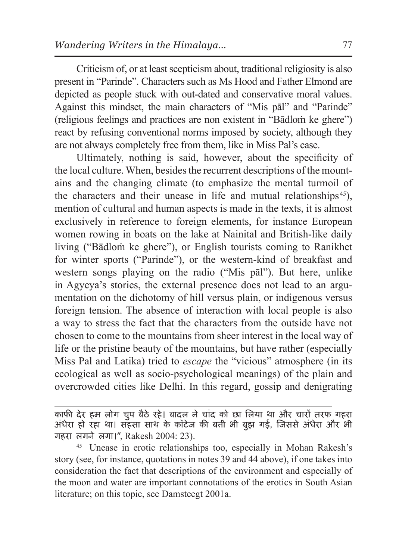Criticism of, or at least scepticism about, traditional religiosity is also present in "Parinde". Characters such as Ms Hood and Father Elmond are depicted as people stuck with out-dated and conservative moral values. Against this mindset, the main characters of "Mis pāl" and "Parinde" (religious feelings and practices are non existent in "Bādloṁ ke ghere") react by refusing conventional norms imposed by society, although they are not always completely free from them, like in Miss Pal's case.

Ultimately, nothing is said, however, about the specificity of the local culture. When, besides the recurrent descriptions of the mountains and the changing climate (to emphasize the mental turmoil of the characters and their unease in life and mutual relationships<sup>45</sup>). mention of cultural and human aspects is made in the texts, it is almost exclusively in reference to foreign elements, for instance European women rowing in boats on the lake at Nainital and British-like daily living ("Bādloṁ ke ghere"), or English tourists coming to Ranikhet for winter sports ("Parinde"), or the western-kind of breakfast and western songs playing on the radio ("Mis pāl"). But here, unlike in Agyeya's stories, the external presence does not lead to an argumentation on the dichotomy of hill versus plain, or indigenous versus foreign tension. The absence of interaction with local people is also a way to stress the fact that the characters from the outside have not chosen to come to the mountains from sheer interest in the local way of life or the pristine beauty of the mountains, but have rather (especially Miss Pal and Latika) tried to *escape* the "vicious" atmosphere (in its ecological as well as socio-psychological meanings) of the plain and overcrowded cities like Delhi. In this regard, gossip and denigrating

काफी देर हम लोग चुप बैठे रहे। बादल ने चांद को छा लिया था और चारों तरफ गहरा अंधेरा हो रहा था। सहसा साथ के कॉटेज की बत्ती भी बुझ गई, जिससे अंधेरा और भी<br>गहरा लगने लगा।", Rakesh 2004: 23).

<sup>45</sup> Unease in erotic relationships too, especially in Mohan Rakesh's story (see, for instance, quotations in notes 39 and 44 above), if one takes into consideration the fact that descriptions of the environment and especially of the moon and water are important connotations of the erotics in South Asian literature; on this topic, see Damsteegt 2001a.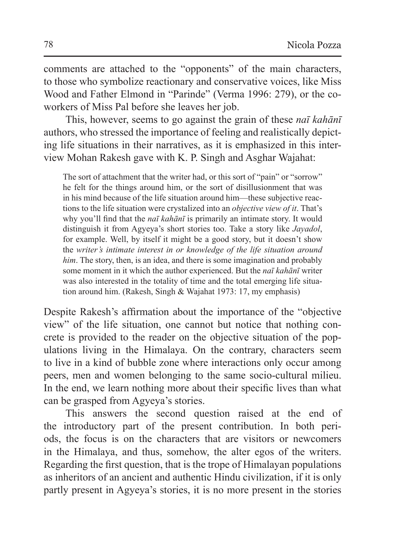comments are attached to the "opponents" of the main characters, to those who symbolize reactionary and conservative voices, like Miss Wood and Father Elmond in "Parinde" (Verma 1996: 279), or the coworkers of Miss Pal before she leaves her job.

This, however, seems to go against the grain of these *naī kahānī* authors, who stressed the importance of feeling and realistically depicting life situations in their narratives, as it is emphasized in this interview Mohan Rakesh gave with K. P. Singh and Asghar Wajahat:

The sort of attachment that the writer had, or this sort of "pain" or "sorrow" he felt for the things around him, or the sort of disillusionment that was in his mind because of the life situation around him—these subjective reactions to the life situation were crystalized into an *objective view of it*. That's why you'll find that the *naī kahānī* is primarily an intimate story. It would distinguish it from Agyeya's short stories too. Take a story like *Jayadol*, for example. Well, by itself it might be a good story, but it doesn't show the *writer's intimate interest in or knowledge of the life situation around him*. The story, then, is an idea, and there is some imagination and probably some moment in it which the author experienced. But the *naī kahānī* writer was also interested in the totality of time and the total emerging life situation around him. (Rakesh, Singh & Wajahat 1973: 17, my emphasis)

Despite Rakesh's affirmation about the importance of the "objective view" of the life situation, one cannot but notice that nothing concrete is provided to the reader on the objective situation of the populations living in the Himalaya. On the contrary, characters seem to live in a kind of bubble zone where interactions only occur among peers, men and women belonging to the same socio-cultural milieu. In the end, we learn nothing more about their specific lives than what can be grasped from Agyeya's stories.

This answers the second question raised at the end of the introductory part of the present contribution. In both periods, the focus is on the characters that are visitors or newcomers in the Himalaya, and thus, somehow, the alter egos of the writers. Regarding the first question, that is the trope of Himalayan populations as inheritors of an ancient and authentic Hindu civilization, if it is only partly present in Agyeya's stories, it is no more present in the stories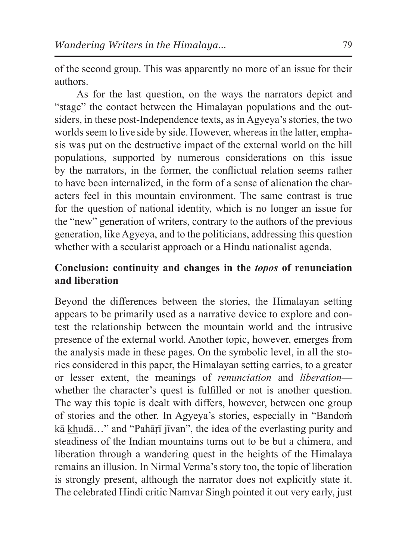of the second group. This was apparently no more of an issue for their authors.

As for the last question, on the ways the narrators depict and "stage" the contact between the Himalayan populations and the outsiders, in these post-Independence texts, as in Agyeya's stories, the two worlds seem to live side by side. However, whereas in the latter, emphasis was put on the destructive impact of the external world on the hill populations, supported by numerous considerations on this issue by the narrators, in the former, the conflictual relation seems rather to have been internalized, in the form of a sense of alienation the characters feel in this mountain environment. The same contrast is true for the question of national identity, which is no longer an issue for the "new" generation of writers, contrary to the authors of the previous generation, like Agyeya, and to the politicians, addressing this question whether with a secularist approach or a Hindu nationalist agenda.

## **Conclusion: continuity and changes in the** *topos* **of renunciation and liberation**

Beyond the differences between the stories, the Himalayan setting appears to be primarily used as a narrative device to explore and contest the relationship between the mountain world and the intrusive presence of the external world. Another topic, however, emerges from the analysis made in these pages. On the symbolic level, in all the stories considered in this paper, the Himalayan setting carries, to a greater or lesser extent, the meanings of *renunciation* and *liberation* whether the character's quest is fulfilled or not is another question. The way this topic is dealt with differs, however, between one group of stories and the other. In Agyeya's stories, especially in "Bandoṁ kā khudā…" and "Pahāṛī jīvan", the idea of the everlasting purity and steadiness of the Indian mountains turns out to be but a chimera, and liberation through a wandering quest in the heights of the Himalaya remains an illusion. In Nirmal Verma's story too, the topic of liberation is strongly present, although the narrator does not explicitly state it. The celebrated Hindi critic Namvar Singh pointed it out very early, just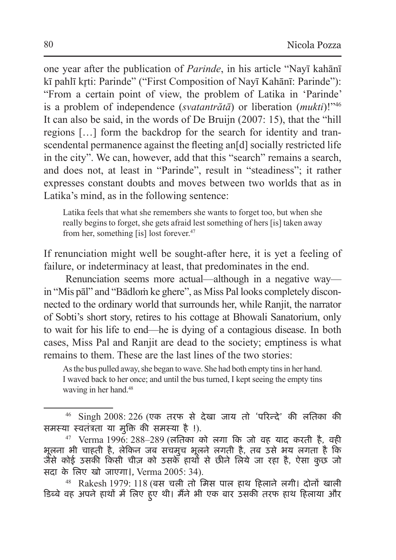one year after the publication of *Parinde*, in his article "Nayī kahānī kī pahlī krti: Parinde" ("First Composition of Navī Kahānī: Parinde"): "From a certain point of view, the problem of Latika in 'Parinde' is a problem of independence (*svatantrătā*) or liberation (*mukti*)!"46 It can also be said, in the words of De Bruijn (2007: 15), that the "hill regions […] form the backdrop for the search for identity and transcendental permanence against the fleeting an<sup>d</sup> socially restricted life in the city". We can, however, add that this "search" remains a search, and does not, at least in "Parinde", result in "steadiness"; it rather expresses constant doubts and moves between two worlds that as in Latika's mind, as in the following sentence:

Latika feels that what she remembers she wants to forget too, but when she really begins to forget, she gets afraid lest something of hers [is] taken away from her, something [is] lost forever.<sup>47</sup>

If renunciation might well be sought-after here, it is yet a feeling of failure, or indeterminacy at least, that predominates in the end.

Renunciation seems more actual—although in a negative way in "Mis pāl" and "Bādloṁ ke ghere", as Miss Pal looks completely disconnected to the ordinary world that surrounds her, while Ranjit, the narrator of Sobti's short story, retires to his cottage at Bhowali Sanatorium, only to wait for his life to end—he is dying of a contagious disease. In both cases, Miss Pal and Ranjit are dead to the society; emptiness is what remains to them. These are the last lines of the two stories:

As the bus pulled away, she began to wave. She had both empty tins in her hand. I waved back to her once; and until the bus turned, I kept seeing the empty tins waving in her hand.48

<sup>46</sup> Singh 2008: 226 (एक तरफ से देखा जाय तो 'परिन्दे' की लतिका की समस्या स्वतंत्रता या मुक्ति की समस्या है !).

 $47$  Verma 1996: 288–289 (लतिका को लगा कि जो वह याद करती है, वही भूलना भी चाहती है, लेकिन जब सचमुच भूलने लगती है, तब उसे भय लगता है कि जैसे कोई उसकी किसी चीज़ को उसके हाथों से छीने लिये जा रहा है, ऐसा कुछ जो सदा के लिए खो जाएगा।, Verma 2005: 34).

 $48$  Rakesh 1979: 118 (बस चली तो मिस पाल हाथ हिलाने लगी। दोनों खाली डिब्बे वह अपने हाथों में लिए हु ए थी। मैंने भी एक बार उसकी तरफ हाथ हिलाया और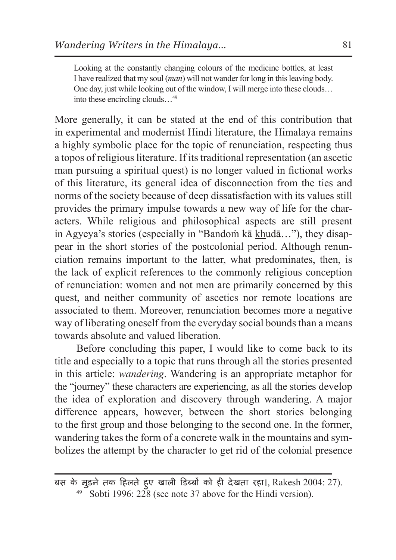Looking at the constantly changing colours of the medicine bottles, at least I have realized that my soul (*man*) will not wander for long in this leaving body. One day, just while looking out of the window, I will merge into these clouds… into these encircling clouds…49

More generally, it can be stated at the end of this contribution that in experimental and modernist Hindi literature, the Himalaya remains a highly symbolic place for the topic of renunciation, respecting thus a topos of religious literature. If its traditional representation (an ascetic man pursuing a spiritual quest) is no longer valued in fictional works of this literature, its general idea of disconnection from the ties and norms of the society because of deep dissatisfaction with its values still provides the primary impulse towards a new way of life for the characters. While religious and philosophical aspects are still present in Agyeya's stories (especially in "Bandoṁ kā khudā…"), they disappear in the short stories of the postcolonial period. Although renunciation remains important to the latter, what predominates, then, is the lack of explicit references to the commonly religious conception of renunciation: women and not men are primarily concerned by this quest, and neither community of ascetics nor remote locations are associated to them. Moreover, renunciation becomes more a negative way of liberating oneself from the everyday social bounds than a means towards absolute and valued liberation.

Before concluding this paper, I would like to come back to its title and especially to a topic that runs through all the stories presented in this article: *wandering*. Wandering is an appropriate metaphor for the "journey" these characters are experiencing, as all the stories develop the idea of exploration and discovery through wandering. A major difference appears, however, between the short stories belonging to the first group and those belonging to the second one. In the former, wandering takes the form of a concrete walk in the mountains and symbolizes the attempt by the character to get rid of the colonial presence

बस के मुड़ने तक हिलते हु ए खाली डिब्बों को ही देखता रहा।, Rakesh 2004: 27).  $49$  Sobti 1996: 228 (see note 37 above for the Hindi version).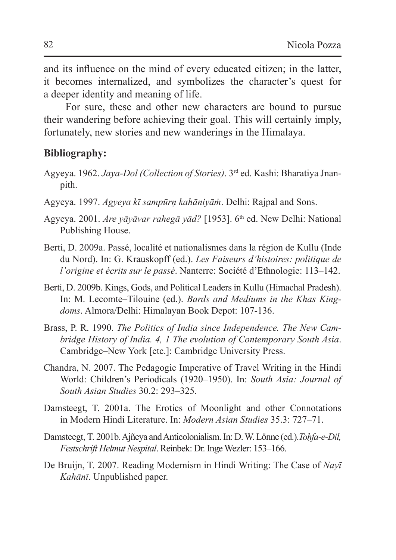and its influence on the mind of every educated citizen; in the latter, it becomes internalized, and symbolizes the character's quest for a deeper identity and meaning of life.

For sure, these and other new characters are bound to pursue their wandering before achieving their goal. This will certainly imply, fortunately, new stories and new wanderings in the Himalaya.

#### **Bibliography:**

- Agyeya. 1962. *Jaya-Dol (Collection of Stories)*. 3rd ed. Kashi: Bharatiya Jnanpith.
- Agyeya. 1997. *Agyeya kī sampūrṇ kahāniyāṁ*. Delhi: Rajpal and Sons.
- Agyeya. 2001. *Are yāyāvar rahegā yād?* [1953]. 6th ed. New Delhi: National Publishing House.
- Berti, D. 2009a. Passé, localité et nationalismes dans la région de Kullu (Inde du Nord). In: G. Krauskopff (ed.). *Les Faiseurs d'histoires: politique de l'origine et écrits sur le passé*. Nanterre: Société d'Ethnologie: 113–142.
- Berti, D. 2009b. Kings, Gods, and Political Leaders in Kullu (Himachal Pradesh). In: M. Lecomte–Tilouine (ed.). *Bards and Mediums in the Khas Kingdoms*. Almora/Delhi: Himalayan Book Depot: 107-136.
- Brass, P. R. 1990. *The Politics of India since Independence. The New Cambridge History of India. 4, 1 The evolution of Contemporary South Asia*. Cambridge–New York [etc.]: Cambridge University Press.
- Chandra, N. 2007. The Pedagogic Imperative of Travel Writing in the Hindi World: Children's Periodicals (1920–1950). In: *South Asia: Journal of South Asian Studies* 30.2: 293–325.
- Damsteegt, T. 2001a. The Erotics of Moonlight and other Connotations in Modern Hindi Literature. In: *Modern Asian Studies* 35.3: 727–71.
- Damsteegt, T. 2001b. Ajñeya and Anticolonialism. In:D.W.Lönne (ed.).*Toḥfa-e-Dil, Festschrift Helmut Nespital. Reinbek: Dr. Inge Wezler: 153–166.*
- De Bruijn, T. 2007. Reading Modernism in Hindi Writing: The Case of *Nayī Kahānī*. Unpublished paper.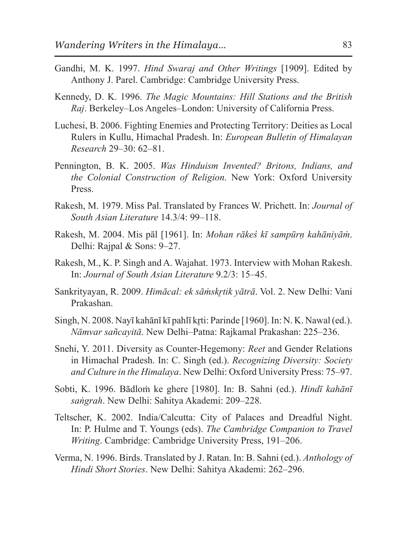- Gandhi, M. K. 1997. *Hind Swaraj and Other Writings* [1909]. Edited by Anthony J. Parel. Cambridge: Cambridge University Press.
- Kennedy, D. K. 1996. *The Magic Mountains: Hill Stations and the British Raj*. Berkeley–Los Angeles–London: University of California Press.
- Luchesi, B. 2006. Fighting Enemies and Protecting Territory: Deities as Local Rulers in Kullu, Himachal Pradesh. In: *European Bulletin of Himalayan Research* 29–30: 62–81.
- Pennington, B. K. 2005. *Was Hinduism Invented? Britons, Indians, and the Colonial Construction of Religion*. New York: Oxford University Press.
- Rakesh, M. 1979. Miss Pal. Translated by Frances W. Prichett. In: *Journal of South Asian Literature* 14.3/4: 99–118.
- Rakesh, M. 2004. Mis pāl [1961]. In: *Mohan rākeś kī sampūrṇ kahāniyāṁ*. Delhi: Rajpal & Sons: 9–27.
- Rakesh, M., K. P. Singh and A. Wajahat. 1973. Interview with Mohan Rakesh. In: *Journal of South Asian Literature* 9.2/3: 15–45.
- Sankrityayan, R. 2009. *Himācal: ek sāṁskr̥tik yātrā*. Vol. 2. New Delhi: Vani Prakashan.
- Singh, N. 2008. Navī kahānī kī pahlī krti: Parinde [1960]. In: N. K. Nawal (ed.). *Nāmvar sañcayitā*. New Delhi–Patna: Rajkamal Prakashan: 225–236.
- Snehi, Y. 2011. Diversity as Counter-Hegemony: *Reet* and Gender Relations in Himachal Pradesh. In: C. Singh (ed.). *Recognizing Diversity: Society and Culture in the Himalaya*. New Delhi: Oxford University Press: 75–97.
- Sobti, K. 1996. Bādloṁ ke ghere [1980]. In: B. Sahni (ed.). *Hindī kahānī saṅgrah*. New Delhi: Sahitya Akademi: 209–228.
- Teltscher, K. 2002. India/Calcutta: City of Palaces and Dreadful Night. In: P. Hulme and T. Youngs (eds). *The Cambridge Companion to Travel Writing*. Cambridge: Cambridge University Press, 191–206.
- Verma, N. 1996. Birds. Translated by J. Ratan. In: B. Sahni (ed.). *Anthology of Hindi Short Stories*. New Delhi: Sahitya Akademi: 262–296.